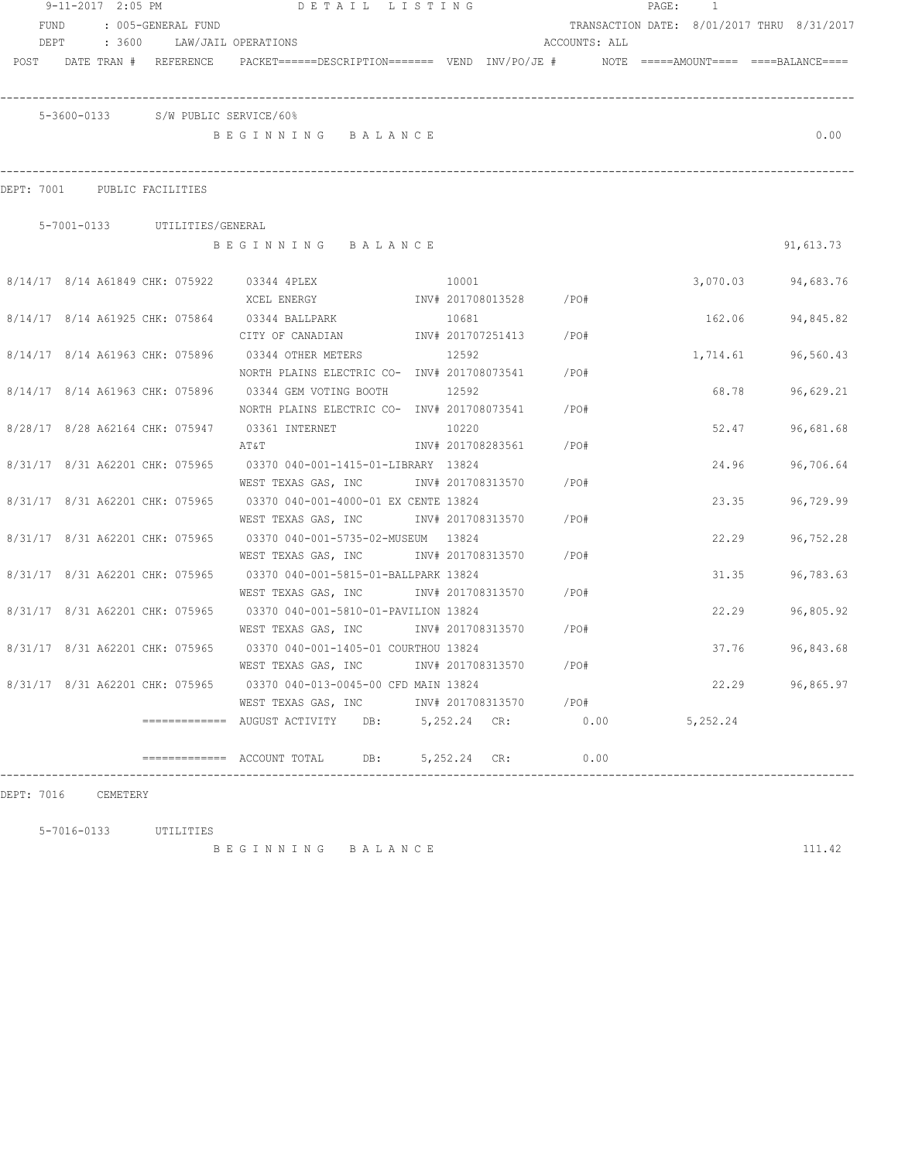|      | 9-11-2017 2:05 PM |        |                                    | DETAIL LISTING                                                                                                 |              |                   |                        | PAGE: | $\overline{1}$ |                                            |
|------|-------------------|--------|------------------------------------|----------------------------------------------------------------------------------------------------------------|--------------|-------------------|------------------------|-------|----------------|--------------------------------------------|
| FUND |                   |        | : 005-GENERAL FUND                 |                                                                                                                |              |                   |                        |       |                | TRANSACTION DATE: 8/01/2017 THRU 8/31/2017 |
|      | DEPT              | : 3600 | LAW/JAIL OPERATIONS                |                                                                                                                |              |                   | ACCOUNTS: ALL          |       |                |                                            |
|      |                   |        |                                    | POST DATE TRAN # REFERENCE PACKET======DESCRIPTION======= VEND INV/PO/JE # NOTE =====AMOUNT==== ===BALANCE==== |              |                   |                        |       |                |                                            |
|      |                   |        |                                    |                                                                                                                |              |                   |                        |       |                |                                            |
|      |                   |        | 5-3600-0133 S/W PUBLIC SERVICE/60% |                                                                                                                |              |                   |                        |       |                |                                            |
|      |                   |        |                                    | BEGINNING BALANCE                                                                                              |              |                   |                        |       |                | 0.00                                       |
|      |                   |        |                                    |                                                                                                                |              |                   |                        |       |                |                                            |
|      |                   |        | DEPT: 7001 PUBLIC FACILITIES       |                                                                                                                |              |                   |                        |       |                |                                            |
|      |                   |        | 5-7001-0133 UTILITIES/GENERAL      |                                                                                                                |              |                   |                        |       |                |                                            |
|      |                   |        |                                    | BEGINNING BALANCE                                                                                              |              |                   |                        |       |                | 91,613.73                                  |
|      |                   |        |                                    | 8/14/17 8/14 A61849 CHK: 075922 03344 4PLEX                                                                    | 10001        |                   |                        |       | 3,070.03       | 94,683.76                                  |
|      |                   |        |                                    | XCEL ENERGY                                                                                                    |              |                   | INV# 201708013528 /PO# |       |                |                                            |
|      |                   |        |                                    | 8/14/17 8/14 A61925 CHK: 075864 03344 BALLPARK                                                                 | 10681        |                   |                        |       | 162.06         | 94,845.82                                  |
|      |                   |        |                                    | CITY OF CANADIAN                                                                                               |              |                   | INV# 201707251413 /PO# |       |                |                                            |
|      |                   |        |                                    | 8/14/17 8/14 A61963 CHK: 075896 03344 OTHER METERS                                                             | 12592        |                   |                        |       |                | 1,714.61 96,560.43                         |
|      |                   |        |                                    | NORTH PLAINS ELECTRIC CO- $\frac{1}{100}$ 1NV# 201708073541 /PO#                                               |              |                   |                        |       |                |                                            |
|      |                   |        |                                    | 8/14/17 8/14 A61963 CHK: 075896 03344 GEM VOTING BOOTH                                                         | 12592        |                   |                        |       | 68.78          | 96,629.21                                  |
|      |                   |        |                                    | NORTH PLAINS ELECTRIC CO- INV# 201708073541                                                                    |              |                   | /PO#                   |       |                |                                            |
|      |                   |        |                                    | 8/28/17 8/28 A62164 CHK: 075947 03361 INTERNET                                                                 | 10220        |                   |                        |       | 52.47          | 96,681.68                                  |
|      |                   |        |                                    | AT&T                                                                                                           |              | INV# 201708283561 | / PO#                  |       |                |                                            |
|      |                   |        |                                    | 8/31/17 8/31 A62201 CHK: 075965 03370 040-001-1415-01-LIBRARY 13824                                            |              |                   |                        |       | 24.96          | 96,706.64                                  |
|      |                   |        |                                    | WEST TEXAS GAS, INC                                                                                            |              | INV# 201708313570 | / PO#                  |       |                |                                            |
|      |                   |        |                                    | 8/31/17 8/31 A62201 CHK: 075965 03370 040-001-4000-01 EX CENTE 13824                                           |              |                   |                        |       | 23.35          | 96,729.99                                  |
|      |                   |        |                                    | WEST TEXAS GAS, INC MOTH 201708313570                                                                          |              |                   | /PO#                   |       |                |                                            |
|      |                   |        |                                    | 8/31/17 8/31 A62201 CHK: 075965 03370 040-001-5735-02-MUSEUM 13824                                             |              |                   |                        |       | 22.29          | 96,752.28                                  |
|      |                   |        |                                    | WEST TEXAS GAS, INC MOTH 201708313570                                                                          |              |                   | /PO#                   |       |                |                                            |
|      |                   |        |                                    | 8/31/17 8/31 A62201 CHK: 075965 03370 040-001-5815-01-BALLPARK 13824                                           |              |                   |                        |       | 31.35          | 96,783.63                                  |
|      |                   |        |                                    | WEST TEXAS GAS, INC MONTH 201708313570                                                                         |              |                   | $/$ PO#                |       |                |                                            |
|      |                   |        |                                    | 8/31/17 8/31 A62201 CHK: 075965 03370 040-001-5810-01-PAVILION 13824                                           |              |                   |                        |       | 22.29          | 96,805.92                                  |
|      |                   |        |                                    | WEST TEXAS GAS, INC       INV# 201708313570     /PO#                                                           |              |                   |                        |       |                |                                            |
|      |                   |        |                                    | 8/31/17 8/31 A62201 CHK: 075965 03370 040-001-1405-01 COURTHOU 13824                                           |              |                   |                        |       | 37.76          | 96,843.68                                  |
|      |                   |        |                                    | WEST TEXAS GAS, INC                                                                                            |              |                   | INV# 201708313570 /PO# |       |                |                                            |
|      |                   |        |                                    | 8/31/17 8/31 A62201 CHK: 075965 03370 040-013-0045-00 CFD MAIN 13824                                           |              |                   |                        |       |                | 22.29 96,865.97                            |
|      |                   |        |                                    | WEST TEXAS GAS, INC                                                                                            |              |                   | INV# 201708313570 /PO# |       |                |                                            |
|      |                   |        |                                    | ============= AUGUST ACTIVITY DB: 5,252.24 CR:                                                                 |              |                   | 0.00                   |       | 5,252.24       |                                            |
|      |                   |        |                                    | ============= ACCOUNT TOTAL<br>DB:                                                                             | 5,252.24 CR: |                   | 0.00                   |       |                |                                            |

DEPT: 7016 CEMETERY

5-7016-0133 UTILITIES

B E G I N N I N G B A L A N C E 111.42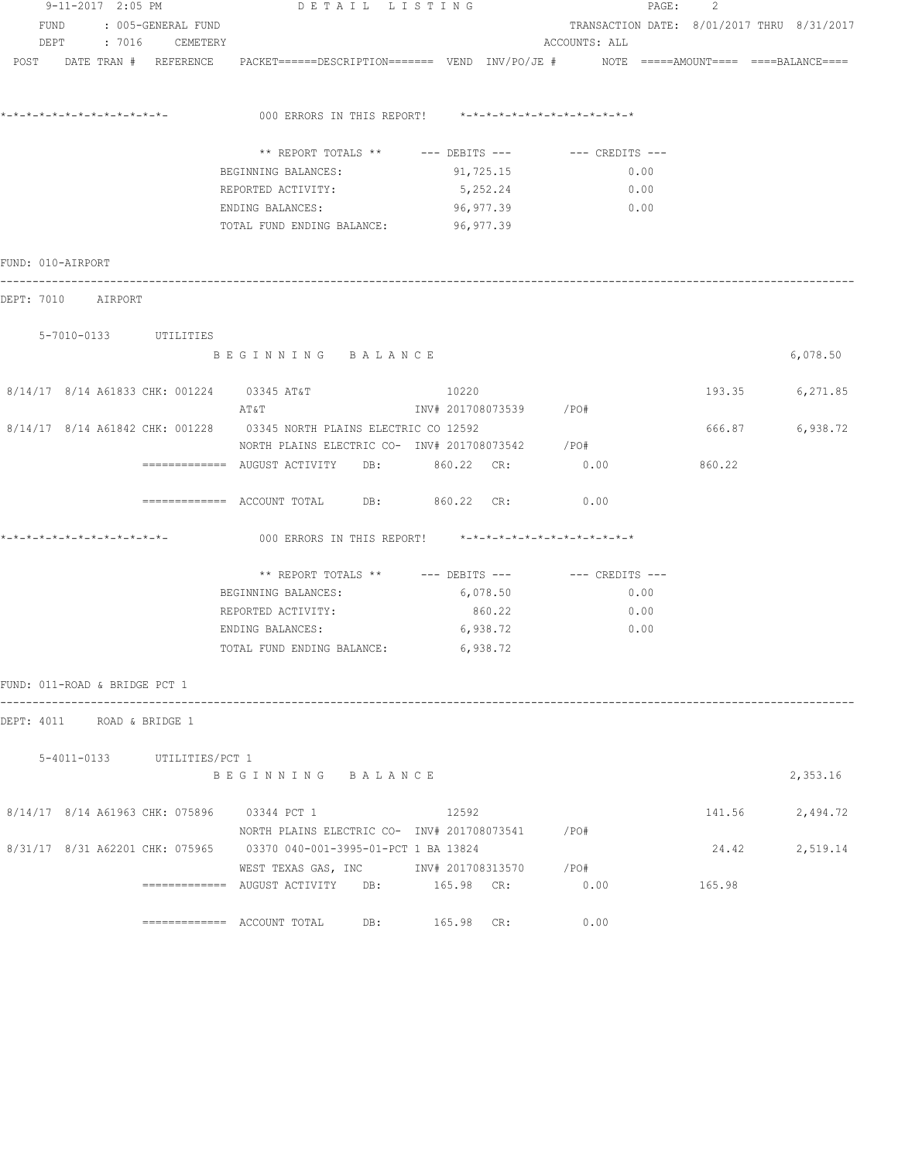| 9-11-2017 2:05 PM             |                             | DETAIL LISTING                                                                              |                                                         | $\mathtt{PAGE}$ :                          | 2      |          |
|-------------------------------|-----------------------------|---------------------------------------------------------------------------------------------|---------------------------------------------------------|--------------------------------------------|--------|----------|
| FUND                          | : 005-GENERAL FUND          |                                                                                             |                                                         | TRANSACTION DATE: 8/01/2017 THRU 8/31/2017 |        |          |
|                               | DEPT : 7016 CEMETERY        |                                                                                             |                                                         | ACCOUNTS: ALL                              |        |          |
| POST DATE TRAN # REFERENCE    |                             | PACKET======DESCRIPTION=======  VEND  INV/PO/JE #     NOTE =====AMOUNT====  ====BALANCE==== |                                                         |                                            |        |          |
|                               |                             |                                                                                             | 000 ERRORS IN THIS REPORT! *-*-*-*-*-*-*-*-*-*-*-*-*-*- |                                            |        |          |
|                               |                             | ** REPORT TOTALS ** --- DEBITS ---                                                          |                                                         | $---$ CREDITS $---$                        |        |          |
|                               |                             | BEGINNING BALANCES:                                                                         | 91,725.15                                               | 0.00                                       |        |          |
|                               |                             | REPORTED ACTIVITY:                                                                          | 5,252.24                                                | 0.00                                       |        |          |
|                               |                             | ENDING BALANCES:                                                                            | 96,977.39                                               | 0.00                                       |        |          |
|                               |                             | TOTAL FUND ENDING BALANCE: 96,977.39                                                        |                                                         |                                            |        |          |
| FUND: 010-AIRPORT             |                             |                                                                                             |                                                         |                                            |        |          |
| DEPT: 7010 AIRPORT            |                             |                                                                                             |                                                         |                                            |        |          |
|                               | 5-7010-0133 UTILITIES       |                                                                                             |                                                         |                                            |        |          |
|                               |                             | BEGINNING BALANCE                                                                           |                                                         |                                            |        | 6,078.50 |
|                               |                             | 8/14/17 8/14 A61833 CHK: 001224 03345 AT&T<br>AT&T                                          | 10220<br>INV# 201708073539 /PO#                         |                                            | 193.35 | 6,271.85 |
|                               |                             | 8/14/17 8/14 A61842 CHK: 001228 03345 NORTH PLAINS ELECTRIC CO 12592                        |                                                         |                                            | 666.87 | 6,938.72 |
|                               |                             | NORTH PLAINS ELECTRIC CO- INV# 201708073542 / PO#                                           |                                                         |                                            |        |          |
|                               |                             | ============ AUGUST ACTIVITY DB: 860.22 CR:                                                 |                                                         | 0.00                                       | 860.22 |          |
|                               |                             | ============= ACCOUNT TOTAL DB: 860.22 CR:                                                  |                                                         | 0.00                                       |        |          |
|                               |                             |                                                                                             | 000 ERRORS IN THIS REPORT! *-*-*-*-*-*-*-*-*-*-*-*-*-*- |                                            |        |          |
|                               |                             | ** REPORT TOTALS ** --- DEBITS ---                                                          |                                                         | --- CREDITS ---                            |        |          |
|                               |                             | BEGINNING BALANCES:                                                                         | 6,078.50                                                | 0.00                                       |        |          |
|                               |                             | REPORTED ACTIVITY:                                                                          | 860.22                                                  | 0.00                                       |        |          |
|                               |                             | ENDING BALANCES:                                                                            | 6,938.72                                                | 0.00                                       |        |          |
|                               |                             | TOTAL FUND ENDING BALANCE:                                                                  | 6,938.72                                                |                                            |        |          |
| FUND: 011-ROAD & BRIDGE PCT 1 |                             |                                                                                             |                                                         |                                            |        |          |
| DEPT: 4011                    | ROAD & BRIDGE 1             |                                                                                             |                                                         |                                            |        |          |
|                               | 5-4011-0133 UTILITIES/PCT 1 |                                                                                             |                                                         |                                            |        |          |
|                               |                             | BEGINNING BALANCE                                                                           |                                                         |                                            |        | 2,353.16 |
|                               |                             | 8/14/17 8/14 A61963 CHK: 075896 03344 PCT 1                                                 | 12592                                                   |                                            | 141.56 | 2,494.72 |
|                               |                             | NORTH PLAINS ELECTRIC CO- INV# 201708073541 / PO#                                           |                                                         |                                            |        |          |
|                               |                             | 8/31/17 8/31 A62201 CHK: 075965 03370 040-001-3995-01-PCT 1 BA 13824                        |                                                         |                                            | 24.42  | 2,519.14 |
|                               |                             | WEST TEXAS GAS, INC MOV# 201708313570 / PO#                                                 |                                                         |                                            |        |          |
|                               |                             | ============ AUGUST ACTIVITY DB: 165.98 CR:                                                 |                                                         | 0.00                                       | 165.98 |          |
|                               |                             | ============= ACCOUNT TOTAL DB: 165.98 CR:                                                  |                                                         | 0.00                                       |        |          |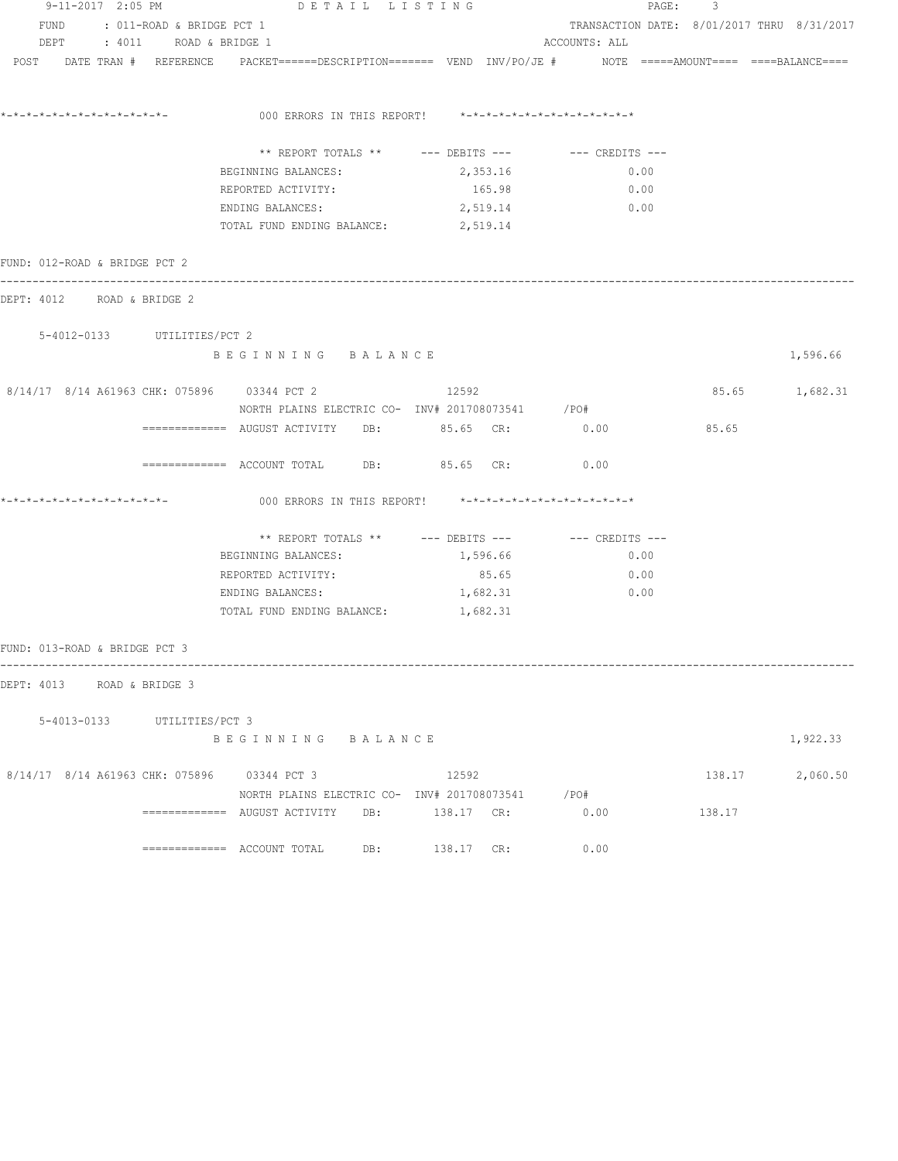| 9-11-2017 2:05 PM<br>DETAIL LISTING |  |                                |                                                                                   |  |                                                                                                                 |               | PAGE:<br>$\overline{\mathbf{3}}$ |                                            |  |  |
|-------------------------------------|--|--------------------------------|-----------------------------------------------------------------------------------|--|-----------------------------------------------------------------------------------------------------------------|---------------|----------------------------------|--------------------------------------------|--|--|
|                                     |  | FUND : 011-ROAD & BRIDGE PCT 1 |                                                                                   |  |                                                                                                                 |               |                                  | TRANSACTION DATE: 8/01/2017 THRU 8/31/2017 |  |  |
|                                     |  | DEPT : 4011 ROAD & BRIDGE 1    |                                                                                   |  |                                                                                                                 | ACCOUNTS: ALL |                                  |                                            |  |  |
|                                     |  |                                |                                                                                   |  | POST DATE TRAN # REFERENCE PACKET======DESCRIPTION======= VEND INV/PO/JE # NOTE =====AMOUNT==== ====BALANCE==== |               |                                  |                                            |  |  |
|                                     |  |                                |                                                                                   |  | 000 ERRORS IN THIS REPORT! *-*-*-*-*-*-*-*-*-*-*-*-*-*-                                                         |               |                                  |                                            |  |  |
|                                     |  |                                |                                                                                   |  |                                                                                                                 |               |                                  |                                            |  |  |
|                                     |  |                                |                                                                                   |  | ** REPORT TOTALS ** --- DEBITS --- -- CREDITS ---                                                               |               |                                  |                                            |  |  |
|                                     |  |                                | BEGINNING BALANCES:                                                               |  | 2,353.16                                                                                                        | 0.00          |                                  |                                            |  |  |
|                                     |  |                                | REPORTED ACTIVITY:                                                                |  | 165.98                                                                                                          | 0.00          |                                  |                                            |  |  |
|                                     |  |                                | ENDING BALANCES:                                                                  |  |                                                                                                                 | 2,519.14 0.00 |                                  |                                            |  |  |
|                                     |  |                                | TOTAL FUND ENDING BALANCE: 2,519.14                                               |  |                                                                                                                 |               |                                  |                                            |  |  |
| FUND: 012-ROAD & BRIDGE PCT 2       |  |                                |                                                                                   |  |                                                                                                                 |               |                                  |                                            |  |  |
| DEPT: 4012 ROAD & BRIDGE 2          |  |                                | ------------------------------------                                              |  |                                                                                                                 |               |                                  |                                            |  |  |
|                                     |  | 5-4012-0133 UTILITIES/PCT 2    |                                                                                   |  |                                                                                                                 |               |                                  |                                            |  |  |
|                                     |  |                                | BEGINNING BALANCE                                                                 |  |                                                                                                                 |               |                                  | 1,596.66                                   |  |  |
|                                     |  |                                | 8/14/17 8/14 A61963 CHK: 075896 03344 PCT 2                                       |  | 12592                                                                                                           |               |                                  | 85.65 1,682.31                             |  |  |
|                                     |  |                                |                                                                                   |  | NORTH PLAINS ELECTRIC CO- INV# 201708073541 / PO#                                                               |               |                                  |                                            |  |  |
|                                     |  |                                |                                                                                   |  | ============ AUGUST ACTIVITY DB: 85.65 CR: 0.00                                                                 |               | 85.65                            |                                            |  |  |
|                                     |  |                                | ============= ACCOUNT TOTAL DB: 85.65 CR:                                         |  |                                                                                                                 | 0.00          |                                  |                                            |  |  |
| *-*-*-*-*-*-*-*-*-*-*-*-*-*-        |  |                                |                                                                                   |  | 000 ERRORS IN THIS REPORT! *-*-*-*-*-*-*-*-*-*-*-*-*-*-                                                         |               |                                  |                                            |  |  |
|                                     |  |                                |                                                                                   |  | ** REPORT TOTALS ** $---$ DEBITS --- $---$ CREDITS ---                                                          |               |                                  |                                            |  |  |
|                                     |  |                                | BEGINNING BALANCES:                                                               |  | 1,596.66                                                                                                        | 0.00          |                                  |                                            |  |  |
|                                     |  |                                | REPORTED ACTIVITY:                                                                |  | 85.65                                                                                                           | 0.00          |                                  |                                            |  |  |
|                                     |  |                                | ENDING BALANCES:                                                                  |  | 1,682.31                                                                                                        | 0.00          |                                  |                                            |  |  |
|                                     |  |                                | TOTAL FUND ENDING BALANCE: 1,682.31                                               |  |                                                                                                                 |               |                                  |                                            |  |  |
| FUND: 013-ROAD & BRIDGE PCT 3       |  |                                |                                                                                   |  |                                                                                                                 |               |                                  |                                            |  |  |
| DEPT: 4013 ROAD & BRIDGE 3          |  |                                |                                                                                   |  |                                                                                                                 |               |                                  |                                            |  |  |
|                                     |  | 5-4013-0133 UTILITIES/PCT 3    |                                                                                   |  |                                                                                                                 |               |                                  |                                            |  |  |
|                                     |  |                                | BEGINNING BALANCE                                                                 |  |                                                                                                                 |               |                                  | 1,922.33                                   |  |  |
|                                     |  |                                | 8/14/17 8/14 A61963 CHK: 075896 03344 PCT 3                                       |  | 12592                                                                                                           |               | 138.17                           | 2,060.50                                   |  |  |
|                                     |  |                                |                                                                                   |  | NORTH PLAINS ELECTRIC CO- INV# 201708073541 / PO#                                                               |               |                                  |                                            |  |  |
|                                     |  |                                | =============     AUGUST  ACTIVITY         DB:                    138.17      CR: |  |                                                                                                                 | 0.00          | 138.17                           |                                            |  |  |
|                                     |  |                                |                                                                                   |  | 138.17 CR:                                                                                                      | 0.00          |                                  |                                            |  |  |